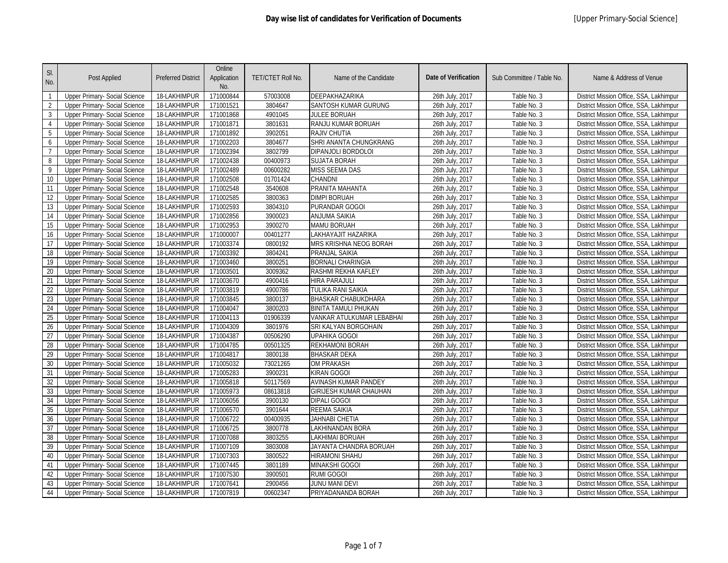| SI.<br>No.     | Post Applied                         | <b>Preferred District</b> | Online<br>Application<br>No. | TET/CTET Roll No. | Name of the Candidate         | <b>Date of Verification</b> | Sub Committee / Table No. | Name & Address of Venue                 |
|----------------|--------------------------------------|---------------------------|------------------------------|-------------------|-------------------------------|-----------------------------|---------------------------|-----------------------------------------|
| $\overline{1}$ | Upper Primary- Social Science        | 18-LAKHIMPUR              | 171000844                    | 57003008          | DEEPAKHAZARIKA                | 26th July, 2017             | Table No. 3               | District Mission Office, SSA, Lakhimpur |
| $\overline{2}$ | Upper Primary- Social Science        | 18-LAKHIMPUR              | 171001521                    | 3804647           | <b>SANTOSH KUMAR GURUNG</b>   | 26th July, 2017             | Table No. 3               | District Mission Office, SSA, Lakhimpur |
| $\overline{3}$ | Upper Primary- Social Science        | 18-LAKHIMPUR              | 171001868                    | 4901045           | JULEE BORUAH                  | 26th July, 2017             | Table No. 3               | District Mission Office, SSA, Lakhimpur |
| 4              | <b>Upper Primary- Social Science</b> | 18-LAKHIMPUR              | 171001871                    | 3801631           | RANJU KUMAR BORUAH            | 26th July, 2017             | Table No. 3               | District Mission Office, SSA, Lakhimpur |
| 5              | Upper Primary- Social Science        | 18-LAKHIMPUR              | 171001892                    | 3902051           | <b>RAJIV CHUTIA</b>           | 26th July, 2017             | Table No. 3               | District Mission Office, SSA, Lakhimpur |
| 6              | Upper Primary- Social Science        | 18-LAKHIMPUR              | 171002203                    | 3804677           | SHRI ANANTA CHUNGKRANG        | 26th July, 2017             | Table No. 3               | District Mission Office, SSA, Lakhimpur |
| $\overline{7}$ | Upper Primary- Social Science        | 18-LAKHIMPUR              | 171002394                    | 3802799           | DIPANJOLI BORDOLOI            | 26th July, 2017             | Table No. 3               | District Mission Office, SSA, Lakhimpur |
| $\, 8$         | Upper Primary- Social Science        | 18-LAKHIMPUR              | 171002438                    | 00400973          | <b>SUJATA BORAH</b>           | 26th July, 2017             | Table No. 3               | District Mission Office, SSA, Lakhimpur |
| 9              | Upper Primary- Social Science        | 18-LAKHIMPUR              | 171002489                    | 00600282          | <b>MISS SEEMA DAS</b>         | 26th July, 2017             | Table No. 3               | District Mission Office, SSA, Lakhimpur |
| 10             | Upper Primary- Social Science        | 18-LAKHIMPUR              | 171002508                    | 01701424          | CHANDNI                       | 26th July, 2017             | Table No. 3               | District Mission Office, SSA, Lakhimpur |
| 11             | Upper Primary- Social Science        | 18-LAKHIMPUR              | 171002548                    | 3540608           | PRANITA MAHANTA               | 26th July, 2017             | Table No. 3               | District Mission Office, SSA, Lakhimpur |
| 12             | Upper Primary- Social Science        | 18-LAKHIMPUR              | 171002585                    | 3800363           | DIMPI BORUAH                  | 26th July, 2017             | Table No. 3               | District Mission Office, SSA, Lakhimpur |
| 13             | Upper Primary- Social Science        | 18-LAKHIMPUR              | 171002593                    | 3804310           | PURANDAR GOGOI                | 26th July, 2017             | Table No. 3               | District Mission Office, SSA, Lakhimpur |
| 14             | Upper Primary- Social Science        | 18-LAKHIMPUR              | 171002856                    | 3900023           | <b>ANJUMA SAIKIA</b>          | 26th July, 2017             | Table No. 3               | District Mission Office, SSA, Lakhimpur |
| 15             | Upper Primary- Social Science        | 18-LAKHIMPUR              | 171002953                    | 3900270           | <b>MAMU BORUAH</b>            | 26th July, 2017             | Table No. 3               | District Mission Office, SSA, Lakhimpur |
| 16             | Upper Primary- Social Science        | 18-LAKHIMPUR              | 171000007                    | 00401277          | LAKHAYAJIT HAZARIKA           | 26th July, 2017             | Table No. 3               | District Mission Office, SSA, Lakhimpur |
| 17             | Upper Primary- Social Science        | 18-LAKHIMPUR              | 171003374                    | 0800192           | MRS KRISHNA NEOG BORAH        | 26th July, 2017             | Table No. 3               | District Mission Office, SSA, Lakhimpur |
| 18             | Upper Primary- Social Science        | 18-LAKHIMPUR              | 171003392                    | 3804241           | PRANJAL SAIKIA                | 26th July, 2017             | Table No. 3               | District Mission Office, SSA, Lakhimpur |
| 19             | <b>Upper Primary- Social Science</b> | 18-LAKHIMPUR              | 171003460                    | 3800251           | <b>BORNALI CHARINGIA</b>      | 26th July, 2017             | Table No. 3               | District Mission Office, SSA, Lakhimpur |
| 20             | Upper Primary- Social Science        | 18-LAKHIMPUR              | 171003501                    | 3009362           | RASHMI REKHA KAFLEY           | 26th July, 2017             | Table No. 3               | District Mission Office, SSA, Lakhimpur |
| 21             | <b>Upper Primary- Social Science</b> | 18-LAKHIMPUR              | 171003670                    | 4900416           | <b>HIRA PARAJULI</b>          | 26th July, 2017             | Table No. 3               | District Mission Office, SSA, Lakhimpur |
| 22             | Upper Primary- Social Science        | 18-LAKHIMPUR              | 171003819                    | 4900786           | TULIKA RANI SAIKIA            | 26th July, 2017             | Table No. 3               | District Mission Office, SSA, Lakhimpur |
| 23             | <b>Upper Primary- Social Science</b> | 18-LAKHIMPUR              | 171003845                    | 3800137           | BHASKAR CHABUKDHARA           | 26th July, 2017             | Table No. 3               | District Mission Office, SSA, Lakhimpur |
| 24             | Upper Primary- Social Science        | 18-LAKHIMPUR              | 171004047                    | 3800203           | BINITA TAMULI PHUKAN          | 26th July, 2017             | Table No. 3               | District Mission Office, SSA, Lakhimpur |
| 25             | <b>Upper Primary- Social Science</b> | 18-LAKHIMPUR              | 171004113                    | 01906339          | VANKAR ATULKUMAR LEBABHAI     | 26th July, 2017             | Table No. 3               | District Mission Office, SSA, Lakhimpur |
| 26             | Upper Primary- Social Science        | 18-LAKHIMPUR              | 171004309                    | 3801976           | SRI KALYAN BORGOHAIN          | 26th July, 2017             | Table No. 3               | District Mission Office, SSA, Lakhimpur |
| 27             | Upper Primary- Social Science        | 18-LAKHIMPUR              | 171004387                    | 00506290          | <b>UPAHIKA GOGOI</b>          | 26th July, 2017             | Table No. 3               | District Mission Office, SSA, Lakhimpur |
| 28             | <b>Upper Primary- Social Science</b> | 18-LAKHIMPUR              | 171004785                    | 00501325          | <b>REKHAMONI BORAH</b>        | 26th July, 2017             | Table No. 3               | District Mission Office, SSA, Lakhimpur |
| 29             | <b>Upper Primary- Social Science</b> | 18-LAKHIMPUR              | 171004817                    | 3800138           | BHASKAR DEKA                  | 26th July, 2017             | Table No. 3               | District Mission Office, SSA, Lakhimpur |
| 30             | Upper Primary- Social Science        | 18-LAKHIMPUR              | 171005032                    | 73021265          | <b>OM PRAKASH</b>             | 26th July, 2017             | Table No. 3               | District Mission Office, SSA, Lakhimpur |
| 31             | Upper Primary- Social Science        | 18-LAKHIMPUR              | 171005283                    | 3900231           | KIRAN GOGOI                   | 26th July, 2017             | Table No. 3               | District Mission Office, SSA, Lakhimpur |
| 32             | Upper Primary- Social Science        | 18-LAKHIMPUR              | 171005818                    | 50117569          | <b>AVINASH KUMAR PANDEY</b>   | 26th July, 2017             | Table No. 3               | District Mission Office, SSA, Lakhimpur |
| 33             | Upper Primary- Social Science        | 18-LAKHIMPUR              | 171005973                    | 08613818          | <b>GIRIJESH KUMAR CHAUHAN</b> | 26th July, 2017             | Table No. 3               | District Mission Office, SSA, Lakhimpur |
| 34             | <b>Upper Primary- Social Science</b> | 18-LAKHIMPUR              | 171006056                    | 3900130           | <b>DIPALI GOGOI</b>           | 26th July, 2017             | Table No. 3               | District Mission Office, SSA, Lakhimpur |
| 35             | Upper Primary- Social Science        | 18-LAKHIMPUR              | 171006570                    | 3901644           | REEMA SAIKIA                  | 26th July, 2017             | Table No. 3               | District Mission Office, SSA, Lakhimpur |
| 36             | <b>Upper Primary- Social Science</b> | 18-LAKHIMPUR              | 171006722                    | 00400935          | JAHNABI CHETIA                | 26th July, 2017             | Table No. 3               | District Mission Office, SSA, Lakhimpur |
| 37             | Upper Primary- Social Science        | 18-LAKHIMPUR              | 171006725                    | 3800778           | LAKHINANDAN BORA              | 26th July, 2017             | Table No. 3               | District Mission Office, SSA, Lakhimpur |
| 38             | Upper Primary- Social Science        | 18-LAKHIMPUR              | 171007088                    | 3803255           | LAKHIMAI BORUAH               | 26th July, 2017             | Table No. 3               | District Mission Office, SSA, Lakhimpur |
| 39             | Upper Primary- Social Science        | 18-LAKHIMPUR              | 171007109                    | 3803008           | JAYANTA CHANDRA BORUAH        | 26th July, 2017             | Table No. 3               | District Mission Office, SSA, Lakhimpur |
| 40             | Upper Primary- Social Science        | 18-LAKHIMPUR              | 171007303                    | 3800522           | <b>HIRAMONI SHAHU</b>         | 26th July, 2017             | Table No. 3               | District Mission Office, SSA, Lakhimpur |
| 41             | Upper Primary- Social Science        | 18-LAKHIMPUR              | 171007445                    | 3801189           | <b>MINAKSHI GOGOI</b>         | 26th July, 2017             | Table No. 3               | District Mission Office, SSA, Lakhimpur |
| 42             | Upper Primary- Social Science        | 18-LAKHIMPUR              | 171007530                    | 3900501           | RUMI GOGOI                    | 26th July, 2017             | Table No. 3               | District Mission Office, SSA, Lakhimpur |
| 43             | Upper Primary- Social Science        | 18-LAKHIMPUR              | 171007641                    | 2900456           | JUNU MANI DEVI                | 26th July, 2017             | Table No. 3               | District Mission Office, SSA, Lakhimpur |
| 44             | Upper Primary- Social Science        | 18-LAKHIMPUR              | 171007819                    | 00602347          | PRIYADANANDA BORAH            | 26th July, 2017             | Table No. 3               | District Mission Office, SSA, Lakhimpur |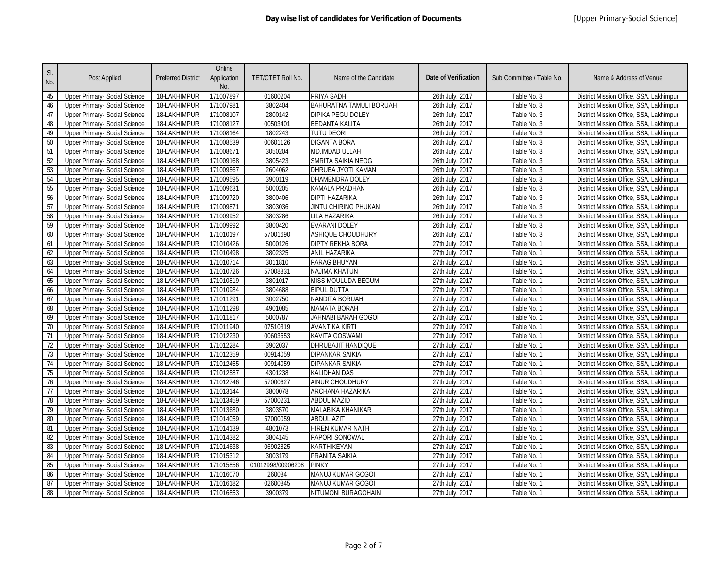| SI.<br>No. | Post Applied                         | <b>Preferred District</b> | Online<br>Application<br>No. | TET/CTET Roll No. | Name of the Candidate     | <b>Date of Verification</b> | Sub Committee / Table No. | Name & Address of Venue                 |
|------------|--------------------------------------|---------------------------|------------------------------|-------------------|---------------------------|-----------------------------|---------------------------|-----------------------------------------|
| 45         | Upper Primary- Social Science        | 18-LAKHIMPUR              | 171007897                    | 01600204          | PRIYA SADH                | 26th July, 2017             | Table No. 3               | District Mission Office, SSA, Lakhimpur |
| 46         | <b>Upper Primary- Social Science</b> | 18-LAKHIMPUR              | 171007981                    | 3802404           | BAHURATNA TAMULI BORUAH   | 26th July, 2017             | Table No. 3               | District Mission Office, SSA, Lakhimpur |
| 47         | Upper Primary- Social Science        | 18-LAKHIMPUR              | 171008107                    | 2800142           | DIPIKA PEGU DOLEY         | 26th July, 2017             | Table No. 3               | District Mission Office, SSA, Lakhimpur |
| 48         | Upper Primary- Social Science        | 18-LAKHIMPUR              | 171008127                    | 00503401          | <b>BEDANTA KALITA</b>     | 26th July, 2017             | Table No. 3               | District Mission Office, SSA, Lakhimpur |
| 49         | Upper Primary- Social Science        | 18-LAKHIMPUR              | 171008164                    | 1802243           | <b>TUTU DEORI</b>         | 26th July, 2017             | Table No. 3               | District Mission Office, SSA, Lakhimpur |
| 50         | Upper Primary- Social Science        | 18-LAKHIMPUR              | 171008539                    | 00601126          | <b>DIGANTA BORA</b>       | 26th July, 2017             | Table No. 3               | District Mission Office, SSA, Lakhimpur |
| 51         | Upper Primary- Social Science        | 18-LAKHIMPUR              | 171008671                    | 3050204           | MD.IMDAD ULLAH            | 26th July, 2017             | Table No. 3               | District Mission Office, SSA, Lakhimpur |
| 52         | Upper Primary- Social Science        | 18-LAKHIMPUR              | 171009168                    | 3805423           | <b>SMRITA SAIKIA NEOG</b> | 26th July, 2017             | Table No. 3               | District Mission Office, SSA, Lakhimpur |
| 53         | Upper Primary- Social Science        | 18-LAKHIMPUR              | 171009567                    | 2604062           | DHRUBA JYOTI KAMAN        | 26th July, 2017             | Table No. 3               | District Mission Office, SSA, Lakhimpur |
| 54         | <b>Upper Primary- Social Science</b> | 18-LAKHIMPUR              | 171009595                    | 3900119           | DHAMENDRA DOLEY           | 26th July, 2017             | Table No. 3               | District Mission Office, SSA, Lakhimpur |
| 55         | Upper Primary- Social Science        | 18-LAKHIMPUR              | 171009631                    | 5000205           | KAMALA PRADHAN            | 26th July, 2017             | Table No. 3               | District Mission Office, SSA, Lakhimpur |
| 56         | Upper Primary- Social Science        | 18-LAKHIMPUR              | 171009720                    | 3800406           | DIPTI HAZARIKA            | 26th July, 2017             | Table No. 3               | District Mission Office, SSA, Lakhimpur |
| 57         | Upper Primary- Social Science        | 18-LAKHIMPUR              | 171009871                    | 3803036           | JINTU CHIRING PHUKAN      | 26th July, 2017             | Table No. 3               | District Mission Office, SSA, Lakhimpur |
| 58         | Upper Primary- Social Science        | 18-LAKHIMPUR              | 171009952                    | 3803286           | LILA HAZARIKA             | 26th July, 2017             | Table No. 3               | District Mission Office, SSA, Lakhimpur |
| 59         | Upper Primary- Social Science        | 18-LAKHIMPUR              | 171009992                    | 3800420           | <b>EVARANI DOLEY</b>      | 26th July, 2017             | Table No. 3               | District Mission Office, SSA, Lakhimpur |
| 60         | Upper Primary- Social Science        | 18-LAKHIMPUR              | 171010197                    | 57001690          | ASHIQUE CHOUDHURY         | 26th July, 2017             | Table No. 3               | District Mission Office, SSA, Lakhimpur |
| 61         | <b>Upper Primary- Social Science</b> | 18-LAKHIMPUR              | 171010426                    | 5000126           | <b>DIPTY REKHA BORA</b>   | 27th July, 2017             | Table No. 1               | District Mission Office, SSA, Lakhimpur |
| 62         | Upper Primary- Social Science        | 18-LAKHIMPUR              | 171010498                    | 3802325           | ANIL HAZARIKA             | 27th July, 2017             | Table No. 1               | District Mission Office, SSA, Lakhimpur |
| 63         | Upper Primary- Social Science        | 18-LAKHIMPUR              | 171010714                    | 3011810           | PARAG BHUYAN              | 27th July, 2017             | Table No. 1               | District Mission Office, SSA, Lakhimpur |
| 64         | Upper Primary- Social Science        | 18-LAKHIMPUR              | 171010726                    | 57008831          | <b>NAJIMA KHATUN</b>      | 27th July, 2017             | Table No. 1               | District Mission Office, SSA, Lakhimpur |
| 65         | <b>Upper Primary- Social Science</b> | 18-LAKHIMPUR              | 171010819                    | 3801017           | <b>MISS MOULUDA BEGUM</b> | 27th July, 2017             | Table No. 1               | District Mission Office, SSA, Lakhimpur |
| 66         | Upper Primary- Social Science        | 18-LAKHIMPUR              | 171010984                    | 3804688           | <b>BIPUL DUTTA</b>        | 27th July, 2017             | Table No. 1               | District Mission Office, SSA, Lakhimpur |
| 67         | <b>Upper Primary- Social Science</b> | 18-LAKHIMPUR              | 171011291                    | 3002750           | NANDITA BORUAH            | 27th July, 2017             | Table No. 1               | District Mission Office, SSA, Lakhimpur |
| 68         | Upper Primary- Social Science        | 18-LAKHIMPUR              | 171011298                    | 4901085           | <b>MAMATA BORAH</b>       | 27th July, 2017             | Table No. 1               | District Mission Office, SSA, Lakhimpur |
| 69         | <b>Upper Primary- Social Science</b> | 18-LAKHIMPUR              | 171011817                    | 5000787           | JAHNABI BARAH GOGOI       | 27th July, 2017             | Table No. 1               | District Mission Office, SSA, Lakhimpur |
| 70         | Upper Primary- Social Science        | 18-LAKHIMPUR              | 171011940                    | 07510319          | AVANTIKA KIRTI            | 27th July, 2017             | Table No. 1               | District Mission Office, SSA, Lakhimpur |
| 71         | Upper Primary- Social Science        | 18-LAKHIMPUR              | 171012230                    | 00603653          | KAVITA GOSWAMI            | 27th July, 2017             | Table No. 1               | District Mission Office, SSA, Lakhimpur |
| 72         | <b>Upper Primary- Social Science</b> | 18-LAKHIMPUR              | 171012284                    | 3902037           | <b>DHRUBAJIT HANDIQUE</b> | 27th July, 2017             | Table No. 1               | District Mission Office, SSA, Lakhimpur |
| 73         | Upper Primary- Social Science        | 18-LAKHIMPUR              | 171012359                    | 00914059          | DIPANKAR SAIKIA           | 27th July, 2017             | Table No. 1               | District Mission Office, SSA, Lakhimpur |
| 74         | <b>Upper Primary- Social Science</b> | 18-LAKHIMPUR              | 171012455                    | 00914059          | DIPANKAR SAIKIA           | 27th July, 2017             | Table No. 1               | District Mission Office, SSA, Lakhimpur |
| 75         | Upper Primary- Social Science        | 18-LAKHIMPUR              | 171012587                    | 4301238           | KALIDHAN DAS              | 27th July, 2017             | Table No. 1               | District Mission Office, SSA, Lakhimpur |
| 76         | Upper Primary- Social Science        | 18-LAKHIMPUR              | 171012746                    | 57000627          | AINUR CHOUDHURY           | 27th July, 2017             | Table No. 1               | District Mission Office, SSA, Lakhimpur |
| 77         | Upper Primary- Social Science        | 18-LAKHIMPUR              | 171013144                    | 3800078           | ARCHANA HAZARIKA          | 27th July, 2017             | Table No. 1               | District Mission Office, SSA, Lakhimpur |
| 78         | <b>Upper Primary- Social Science</b> | 18-LAKHIMPUR              | 171013459                    | 57000231          | <b>ABDUL MAZID</b>        | 27th July, 2017             | Table No. 1               | District Mission Office, SSA, Lakhimpur |
| 79         | Upper Primary- Social Science        | 18-LAKHIMPUR              | 171013680                    | 3803570           | MALABIKA KHANIKAR         | 27th July, 2017             | Table No. 1               | District Mission Office, SSA, Lakhimpur |
| 80         | <b>Upper Primary- Social Science</b> | 18-LAKHIMPUR              | 171014059                    | 57000059          | <b>ABDUL AZIT</b>         | 27th July, 2017             | Table No. 1               | District Mission Office, SSA, Lakhimpur |
| 81         | Upper Primary- Social Science        | 18-LAKHIMPUR              | 171014139                    | 4801073           | HIREN KUMAR NATH          | 27th July, 2017             | Table No. 1               | District Mission Office, SSA, Lakhimpur |
| 82         | Upper Primary- Social Science        | 18-LAKHIMPUR              | 171014382                    | 3804145           | PAPORI SONOWAL            | 27th July, 2017             | Table No. 1               | District Mission Office, SSA, Lakhimpur |
| 83         | Upper Primary- Social Science        | 18-LAKHIMPUR              | 171014638                    | 06902825          | KARTHIKEYAN               | 27th July, 2017             | Table No. 1               | District Mission Office, SSA, Lakhimpur |
| 84         | Upper Primary- Social Science        | 18-LAKHIMPUR              | 171015312                    | 3003179           | PRANITA SAIKIA            | 27th July, 2017             | Table No. 1               | District Mission Office, SSA, Lakhimpur |
| 85         | Upper Primary- Social Science        | 18-LAKHIMPUR              | 171015856                    | 01012998/00906208 | <b>PINKY</b>              | 27th July, 2017             | Table No. 1               | District Mission Office, SSA, Lakhimpur |
| 86         | Upper Primary- Social Science        | 18-LAKHIMPUR              | 171016070                    | 260084            | MANUJ KUMAR GOGOI         | 27th July, 2017             | Table No. 1               | District Mission Office, SSA, Lakhimpur |
| 87         | Upper Primary- Social Science        | 18-LAKHIMPUR              | 171016182                    | 02600845          | MANUJ KUMAR GOGOI         | 27th July, 2017             | Table No. 1               | District Mission Office, SSA, Lakhimpur |
| 88         | <b>Upper Primary- Social Science</b> | 18-LAKHIMPUR              | 171016853                    | 3900379           | NITUMONI BURAGOHAIN       | 27th July, 2017             | Table No. 1               | District Mission Office, SSA, Lakhimpur |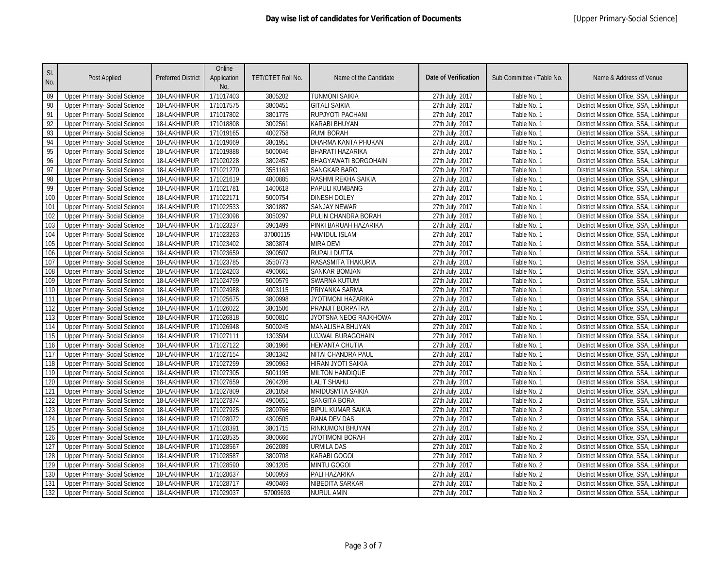| SI.<br>No. | Post Applied                         | <b>Preferred District</b> | Online<br>Application<br>No. | TET/CTET Roll No. | Name of the Candidate       | <b>Date of Verification</b> | Sub Committee / Table No. | Name & Address of Venue                 |
|------------|--------------------------------------|---------------------------|------------------------------|-------------------|-----------------------------|-----------------------------|---------------------------|-----------------------------------------|
| 89         | Upper Primary- Social Science        | 18-LAKHIMPUR              | 171017403                    | 3805202           | TUNMONI SAIKIA              | 27th July, 2017             | Table No. 1               | District Mission Office, SSA, Lakhimpur |
| 90         | <b>Upper Primary- Social Science</b> | 18-LAKHIMPUR              | 171017575                    | 3800451           | <b>GITALI SAIKIA</b>        | 27th July, 2017             | Table No. 1               | District Mission Office, SSA, Lakhimpur |
| 91         | Upper Primary- Social Science        | 18-LAKHIMPUR              | 171017802                    | 3801775           | RUPJYOTI PACHANI            | 27th July, 2017             | Table No. 1               | District Mission Office, SSA, Lakhimpur |
| 92         | Upper Primary- Social Science        | 18-LAKHIMPUR              | 171018808                    | 3002561           | KARABI BHUYAN               | 27th July, 2017             | Table No. 1               | District Mission Office, SSA, Lakhimpur |
| 93         | <b>Upper Primary- Social Science</b> | 18-LAKHIMPUR              | 171019165                    | 4002758           | RUMI BORAH                  | 27th July, 2017             | Table No. 1               | District Mission Office, SSA, Lakhimpur |
| 94         | Upper Primary- Social Science        | 18-LAKHIMPUR              | 171019669                    | 3801951           | <b>DHARMA KANTA PHUKAN</b>  | 27th July, 2017             | Table No. 1               | District Mission Office, SSA, Lakhimpur |
| 95         | Upper Primary- Social Science        | 18-LAKHIMPUR              | 171019888                    | 5000046           | BHARATI HAZARIKA            | 27th July, 2017             | Table No. 1               | District Mission Office, SSA, Lakhimpur |
| 96         | Upper Primary- Social Science        | 18-LAKHIMPUR              | 171020228                    | 3802457           | <b>BHAGYAWATI BORGOHAIN</b> | 27th July, 2017             | Table No. 1               | District Mission Office, SSA, Lakhimpur |
| 97         | Upper Primary- Social Science        | 18-LAKHIMPUR              | 171021270                    | 3551163           | <b>SANGKAR BARO</b>         | 27th July, 2017             | Table No. 1               | District Mission Office, SSA, Lakhimpur |
| 98         | <b>Upper Primary- Social Science</b> | 18-LAKHIMPUR              | 171021619                    | 4800885           | RASHMI REKHA SAIKIA         | 27th July, 2017             | Table No. 1               | District Mission Office, SSA, Lakhimpur |
| 99         | Upper Primary- Social Science        | 18-LAKHIMPUR              | 171021781                    | 1400618           | PAPULI KUMBANG              | 27th July, 2017             | Table No. 1               | District Mission Office, SSA, Lakhimpur |
| 100        | Upper Primary- Social Science        | 18-LAKHIMPUR              | 171022171                    | 5000754           | DINESH DOLEY                | 27th July, 2017             | Table No. 1               | District Mission Office, SSA, Lakhimpur |
| 101        | Upper Primary- Social Science        | 18-LAKHIMPUR              | 171022533                    | 3801887           | <b>SANJAY NEWAR</b>         | 27th July, 2017             | Table No. 1               | District Mission Office, SSA, Lakhimpur |
| 102        | Upper Primary- Social Science        | 18-LAKHIMPUR              | 171023098                    | 3050297           | PULIN CHANDRA BORAH         | 27th July, 2017             | Table No. 1               | District Mission Office, SSA, Lakhimpur |
| 103        | Upper Primary- Social Science        | 18-LAKHIMPUR              | 171023237                    | 3901499           | PINKI BARUAH HAZARIKA       | 27th July, 2017             | Table No. 1               | District Mission Office, SSA, Lakhimpur |
| 104        | Upper Primary- Social Science        | 18-LAKHIMPUR              | 171023263                    | 37000115          | HAMIDUL ISLAM               | 27th July, 2017             | Table No. 1               | District Mission Office, SSA, Lakhimpur |
| 105        | <b>Upper Primary- Social Science</b> | 18-LAKHIMPUR              | 171023402                    | 3803874           | <b>MIRA DEVI</b>            | 27th July, 2017             | Table No. 1               | District Mission Office, SSA, Lakhimpur |
| 106        | Upper Primary- Social Science        | 18-LAKHIMPUR              | 171023659                    | 3900507           | RUPALI DUTTA                | 27th July, 2017             | Table No. 1               | District Mission Office, SSA, Lakhimpur |
| 107        | Upper Primary- Social Science        | 18-LAKHIMPUR              | 171023785                    | 3550773           | RASASMITA THAKURIA          | 27th July, 2017             | Table No. 1               | District Mission Office, SSA, Lakhimpur |
| 108        | Upper Primary- Social Science        | 18-LAKHIMPUR              | 171024203                    | 4900661           | <b>SANKAR BOMJAN</b>        | 27th July, 2017             | Table No. 1               | District Mission Office, SSA, Lakhimpur |
| 109        | <b>Upper Primary- Social Science</b> | 18-LAKHIMPUR              | 171024799                    | 5000579           | <b>SWARNA KUTUM</b>         | 27th July, 2017             | Table No. 1               | District Mission Office, SSA, Lakhimpur |
| 110        | Upper Primary- Social Science        | 18-LAKHIMPUR              | 171024988                    | 4003115           | PRIYANKA SARMA              | 27th July, 2017             | Table No. 1               | District Mission Office, SSA, Lakhimpur |
| 111        | <b>Upper Primary- Social Science</b> | 18-LAKHIMPUR              | 171025675                    | 3800998           | JYOTIMONI HAZARIKA          | 27th July, 2017             | Table No. 1               | District Mission Office, SSA, Lakhimpur |
| 112        | Upper Primary- Social Science        | 18-LAKHIMPUR              | 171026022                    | 3801506           | PRANJIT BORPATRA            | 27th July, 2017             | Table No. 1               | District Mission Office, SSA, Lakhimpur |
| 113        | <b>Upper Primary- Social Science</b> | 18-LAKHIMPUR              | 171026818                    | 5000810           | JYOTSNA NEOG RAJKHOWA       | 27th July, 2017             | Table No. 1               | District Mission Office, SSA, Lakhimpur |
| 114        | Upper Primary- Social Science        | 18-LAKHIMPUR              | 171026948                    | 5000245           | MANALISHA BHUYAN            | 27th July, 2017             | Table No. 1               | District Mission Office, SSA, Lakhimpur |
| 115        | Upper Primary- Social Science        | 18-LAKHIMPUR              | 171027111                    | 1303504           | UJJWAL BURAGOHAIN           | 27th July, 2017             | Table No. 1               | District Mission Office, SSA, Lakhimpur |
| 116        | <b>Upper Primary- Social Science</b> | 18-LAKHIMPUR              | 171027122                    | 3801966           | <b>HEMANTA CHUTIA</b>       | 27th July, 2017             | Table No. 1               | District Mission Office, SSA, Lakhimpur |
| 117        | Upper Primary- Social Science        | 18-LAKHIMPUR              | 171027154                    | 3801342           | NITAI CHANDRA PAUL          | 27th July, 2017             | Table No. 1               | District Mission Office, SSA, Lakhimpur |
| 118        | <b>Upper Primary- Social Science</b> | 18-LAKHIMPUR              | 171027299                    | 3900963           | HIRAN JYOTI SAIKIA          | 27th July, 2017             | Table No. 1               | District Mission Office, SSA, Lakhimpur |
| 119        | Upper Primary- Social Science        | 18-LAKHIMPUR              | 171027305                    | 5001195           | <b>MILTON HANDIQUE</b>      | 27th July, 2017             | Table No. 1               | District Mission Office, SSA, Lakhimpur |
| 120        | Upper Primary- Social Science        | 18-LAKHIMPUR              | 171027659                    | 2604206           | LALIT SHAHU                 | 27th July, 2017             | Table No. 1               | District Mission Office, SSA, Lakhimpur |
| 121        | Upper Primary- Social Science        | 18-LAKHIMPUR              | 171027809                    | 2801058           | MRIDUSMITA SAIKIA           | 27th July, 2017             | Table No. 2               | District Mission Office, SSA, Lakhimpur |
| 122        | <b>Upper Primary- Social Science</b> | 18-LAKHIMPUR              | 171027874                    | 4900651           | <b>SANGITA BORA</b>         | 27th July, 2017             | Table No. 2               | District Mission Office, SSA, Lakhimpur |
| 123        | Upper Primary- Social Science        | 18-LAKHIMPUR              | 171027925                    | 2800766           | BIPUL KUMAR SAIKIA          | 27th July, 2017             | Table No. 2               | District Mission Office, SSA, Lakhimpur |
| 124        | <b>Upper Primary- Social Science</b> | 18-LAKHIMPUR              | 171028072                    | 4300505           | RANA DEV DAS                | 27th July, 2017             | Table No. 2               | District Mission Office, SSA, Lakhimpur |
| 125        | Upper Primary- Social Science        | 18-LAKHIMPUR              | 171028391                    | 3801715           | RINKUMONI BHUYAN            | 27th July, 2017             | Table No. 2               | District Mission Office, SSA, Lakhimpur |
| 126        | <b>Upper Primary- Social Science</b> | 18-LAKHIMPUR              | 171028535                    | 3800666           | JYOTIMONI BORAH             | 27th July, 2017             | Table No. 2               | District Mission Office, SSA, Lakhimpur |
| 127        | Upper Primary- Social Science        | 18-LAKHIMPUR              | 171028567                    | 2602089           | <b>URMILA DAS</b>           | 27th July, 2017             | Table No. 2               | District Mission Office, SSA, Lakhimpur |
| 128        | Upper Primary- Social Science        | 18-LAKHIMPUR              | 171028587                    | 3800708           | <b>KARABI GOGOI</b>         | 27th July, 2017             | Table No. 2               | District Mission Office, SSA, Lakhimpur |
| 129        | Upper Primary- Social Science        | 18-LAKHIMPUR              | 171028590                    | 3901205           | <b>MINTU GOGOI</b>          | 27th July, 2017             | Table No. 2               | District Mission Office, SSA, Lakhimpur |
| 130        | Upper Primary- Social Science        | 18-LAKHIMPUR              | 171028637                    | 5000959           | PALI HAZARIKA               | 27th July, 2017             | Table No. 2               | District Mission Office, SSA, Lakhimpur |
| 131        | Upper Primary- Social Science        | 18-LAKHIMPUR              | 171028717                    | 4900469           | NIBEDITA SARKAR             | 27th July, 2017             | Table No. 2               | District Mission Office, SSA, Lakhimpur |
| 132        | <b>Upper Primary- Social Science</b> | 18-LAKHIMPUR              | 171029037                    | 57009693          | <b>NURUL AMIN</b>           | 27th July, 2017             | Table No. 2               | District Mission Office, SSA, Lakhimpur |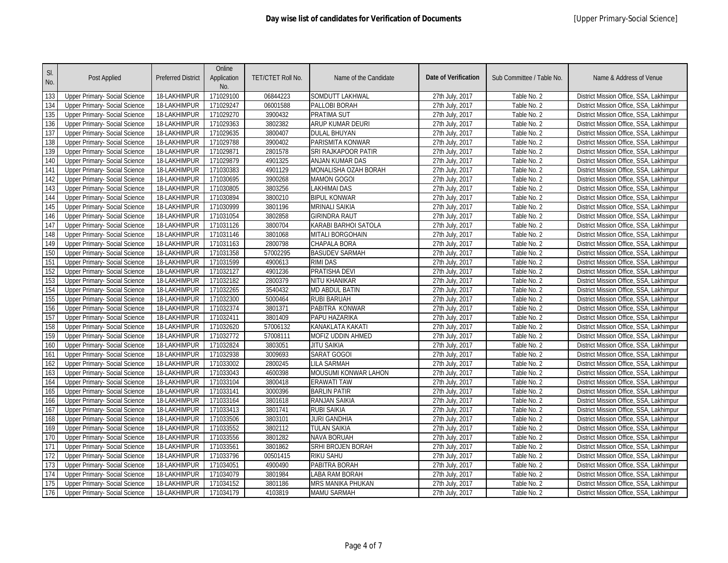| SI.<br>No. | Post Applied                         | <b>Preferred District</b> | Online<br>Application<br>No. | TET/CTET Roll No. | Name of the Candidate    | <b>Date of Verification</b> | Sub Committee / Table No. | Name & Address of Venue                 |
|------------|--------------------------------------|---------------------------|------------------------------|-------------------|--------------------------|-----------------------------|---------------------------|-----------------------------------------|
| 133        | <b>Upper Primary- Social Science</b> | 18-LAKHIMPUR              | 171029100                    | 06844223          | <b>SOMDUTT LAKHWAL</b>   | 27th July, 2017             | Table No. 2               | District Mission Office, SSA, Lakhimpur |
| 134        | <b>Upper Primary- Social Science</b> | 18-LAKHIMPUR              | 171029247                    | 06001588          | PALLOBI BORAH            | 27th July, 2017             | Table No. 2               | District Mission Office, SSA, Lakhimpur |
| 135        | Upper Primary- Social Science        | 18-LAKHIMPUR              | 171029270                    | 3900432           | PRATIMA SUT              | 27th July, 2017             | Table No. 2               | District Mission Office, SSA, Lakhimpur |
| 136        | Upper Primary- Social Science        | 18-LAKHIMPUR              | 171029363                    | 3802382           | ARUP KUMAR DEURI         | 27th July, 2017             | Table No. 2               | District Mission Office, SSA, Lakhimpur |
| 137        | Upper Primary- Social Science        | 18-LAKHIMPUR              | 171029635                    | 3800407           | <b>DULAL BHUYAN</b>      | 27th July, 2017             | Table No. 2               | District Mission Office, SSA, Lakhimpur |
| 138        | Upper Primary- Social Science        | 18-LAKHIMPUR              | 171029788                    | 3900402           | PARISMITA KONWAR         | 27th July, 2017             | Table No. 2               | District Mission Office, SSA, Lakhimpur |
| 139        | Upper Primary- Social Science        | 18-LAKHIMPUR              | 171029871                    | 2801578           | SRI RAJKAPOOR PATIR      | 27th July, 2017             | Table No. 2               | District Mission Office, SSA, Lakhimpur |
| 140        | Upper Primary- Social Science        | 18-LAKHIMPUR              | 171029879                    | 4901325           | <b>ANJAN KUMAR DAS</b>   | 27th July, 2017             | Table No. 2               | District Mission Office, SSA, Lakhimpur |
| 141        | Upper Primary- Social Science        | 18-LAKHIMPUR              | 171030383                    | 4901129           | MONALISHA OZAH BORAH     | 27th July, 2017             | Table No. 2               | District Mission Office, SSA, Lakhimpur |
| 142        | Upper Primary- Social Science        | 18-LAKHIMPUR              | 171030695                    | 3900268           | <b>MAMON GOGOI</b>       | 27th July, 2017             | Table No. 2               | District Mission Office, SSA, Lakhimpur |
| 143        | Upper Primary- Social Science        | 18-LAKHIMPUR              | 171030805                    | 3803256           | LAKHIMAI DAS             | 27th July, 2017             | Table No. 2               | District Mission Office, SSA, Lakhimpur |
| 144        | Upper Primary- Social Science        | 18-LAKHIMPUR              | 171030894                    | 3800210           | BIPUL KONWAR             | 27th July, 2017             | Table No. 2               | District Mission Office, SSA, Lakhimpur |
| 145        | Upper Primary- Social Science        | 18-LAKHIMPUR              | 171030999                    | 3801196           | <b>MRINALI SAIKIA</b>    | 27th July, 2017             | Table No. 2               | District Mission Office, SSA, Lakhimpur |
| 146        | Upper Primary- Social Science        | 18-LAKHIMPUR              | 171031054                    | 3802858           | <b>GIRINDRA RAUT</b>     | 27th July, 2017             | Table No. 2               | District Mission Office, SSA, Lakhimpur |
| 147        | Upper Primary- Social Science        | 18-LAKHIMPUR              | 171031126                    | 3800704           | KARABI BARHOI SATOLA     | 27th July, 2017             | Table No. 2               | District Mission Office, SSA, Lakhimpur |
| 148        | Upper Primary- Social Science        | 18-LAKHIMPUR              | 171031146                    | 3801068           | <b>MITALI BORGOHAIN</b>  | 27th July, 2017             | Table No. 2               | District Mission Office, SSA, Lakhimpur |
| 149        | Upper Primary- Social Science        | 18-LAKHIMPUR              | 171031163                    | 2800798           | <b>CHAPALA BORA</b>      | 27th July, 2017             | Table No. 2               | District Mission Office, SSA, Lakhimpur |
| 150        | Upper Primary- Social Science        | 18-LAKHIMPUR              | 171031358                    | 57002295          | <b>BASUDEV SARMAH</b>    | 27th July, 2017             | Table No. 2               | District Mission Office, SSA, Lakhimpur |
| 151        | Upper Primary- Social Science        | 18-LAKHIMPUR              | 171031599                    | 4900613           | <b>RIMI DAS</b>          | 27th July, 2017             | Table No. 2               | District Mission Office, SSA, Lakhimpur |
| 152        | Upper Primary- Social Science        | 18-LAKHIMPUR              | 171032127                    | 4901236           | PRATISHA DEVI            | 27th July, 2017             | Table No. 2               | District Mission Office, SSA, Lakhimpur |
| 153        | <b>Upper Primary- Social Science</b> | 18-LAKHIMPUR              | 171032182                    | 2800379           | <b>NITU KHANIKAR</b>     | 27th July, 2017             | Table No. 2               | District Mission Office, SSA, Lakhimpur |
| 154        | Upper Primary- Social Science        | 18-LAKHIMPUR              | 171032265                    | 3540432           | <b>MD ABDUL BATIN</b>    | 27th July, 2017             | Table No. 2               | District Mission Office, SSA, Lakhimpur |
| 155        | <b>Upper Primary- Social Science</b> | 18-LAKHIMPUR              | 171032300                    | 5000464           | RUBI BARUAH              | 27th July, 2017             | Table No. 2               | District Mission Office, SSA, Lakhimpur |
| 156        | Upper Primary- Social Science        | 18-LAKHIMPUR              | 171032374                    | 3801371           | PABITRA KONWAR           | 27th July, 2017             | Table No. 2               | District Mission Office, SSA, Lakhimpur |
| 157        | <b>Upper Primary- Social Science</b> | 18-LAKHIMPUR              | 171032411                    | 3801409           | PAPU HAZARIKA            | 27th July, 2017             | Table No. 2               | District Mission Office, SSA, Lakhimpur |
| 158        | Upper Primary- Social Science        | 18-LAKHIMPUR              | 171032620                    | 57006132          | KANAKLATA KAKATI         | 27th July, 2017             | Table No. 2               | District Mission Office, SSA, Lakhimpur |
| 159        | Upper Primary- Social Science        | 18-LAKHIMPUR              | 171032772                    | 57008111          | <b>MOFIZ UDDIN AHMED</b> | 27th July, 2017             | Table No. 2               | District Mission Office, SSA, Lakhimpur |
| 160        | <b>Upper Primary- Social Science</b> | 18-LAKHIMPUR              | 171032824                    | 3803051           | <b>JITU SAIKIA</b>       | 27th July, 2017             | Table No. 2               | District Mission Office, SSA, Lakhimpur |
| 161        | <b>Upper Primary- Social Science</b> | 18-LAKHIMPUR              | 171032938                    | 3009693           | SARAT GOGOI              | 27th July, 2017             | Table No. 2               | District Mission Office, SSA, Lakhimpur |
| 162        | Upper Primary- Social Science        | 18-LAKHIMPUR              | 171033002                    | 2800245           | LILA SARMAH              | 27th July, 2017             | Table No. 2               | District Mission Office, SSA, Lakhimpur |
| 163        | Upper Primary- Social Science        | 18-LAKHIMPUR              | 171033043                    | 4600398           | MOUSUMI KONWAR LAHON     | 27th July, 2017             | Table No. 2               | District Mission Office, SSA, Lakhimpur |
| 164        | Upper Primary- Social Science        | 18-LAKHIMPUR              | 171033104                    | 3800418           | <b>ERAWATI TAW</b>       | 27th July, 2017             | Table No. 2               | District Mission Office, SSA, Lakhimpur |
| 165        | Upper Primary- Social Science        | 18-LAKHIMPUR              | 171033141                    | 3000396           | <b>BARLIN PATIR</b>      | 27th July, 2017             | Table No. 2               | District Mission Office, SSA, Lakhimpur |
| 166        | <b>Upper Primary- Social Science</b> | 18-LAKHIMPUR              | 171033164                    | 3801618           | <b>RANJAN SAIKIA</b>     | 27th July, 2017             | Table No. 2               | District Mission Office, SSA, Lakhimpur |
| 167        | Upper Primary- Social Science        | 18-LAKHIMPUR              | 171033413                    | 3801741           | <b>RUBI SAIKIA</b>       | 27th July, 2017             | Table No. 2               | District Mission Office, SSA, Lakhimpur |
| 168        | <b>Upper Primary- Social Science</b> | 18-LAKHIMPUR              | 171033506                    | 3803101           | JURI GANDHIA             | 27th July, 2017             | Table No. 2               | District Mission Office, SSA, Lakhimpur |
| 169        | Upper Primary- Social Science        | 18-LAKHIMPUR              | 171033552                    | 3802112           | <b>TULAN SAIKIA</b>      | 27th July, 2017             | Table No. 2               | District Mission Office, SSA, Lakhimpur |
| 170        | Upper Primary- Social Science        | 18-LAKHIMPUR              | 171033556                    | 3801282           | NAVA BORUAH              | 27th July, 2017             | Table No. 2               | District Mission Office, SSA, Lakhimpur |
| 171        | Upper Primary- Social Science        | 18-LAKHIMPUR              | 171033561                    | 3801862           | <b>SRHI BROJEN BORAH</b> | 27th July, 2017             | Table No. 2               | District Mission Office, SSA, Lakhimpur |
| 172        | Upper Primary- Social Science        | 18-LAKHIMPUR              | 171033796                    | 00501415          | RIKU SAHU                | 27th July, 2017             | Table No. 2               | District Mission Office, SSA, Lakhimpur |
| 173        | Upper Primary- Social Science        | 18-LAKHIMPUR              | 171034051                    | 4900490           | PABITRA BORAH            | 27th July, 2017             | Table No. 2               | District Mission Office, SSA, Lakhimpur |
| 174        | Upper Primary- Social Science        | 18-LAKHIMPUR              | 171034079                    | 3801984           | LABA RAM BORAH           | 27th July, 2017             | Table No. 2               | District Mission Office, SSA, Lakhimpur |
| 175        | Upper Primary- Social Science        | 18-LAKHIMPUR              | 171034152                    | 3801186           | <b>MRS MANIKA PHUKAN</b> | 27th July, 2017             | Table No. 2               | District Mission Office, SSA, Lakhimpur |
| 176        | <b>Upper Primary- Social Science</b> | 18-LAKHIMPUR              | 171034179                    | 4103819           | <b>MAMU SARMAH</b>       | 27th July, 2017             | Table No. 2               | District Mission Office, SSA, Lakhimpur |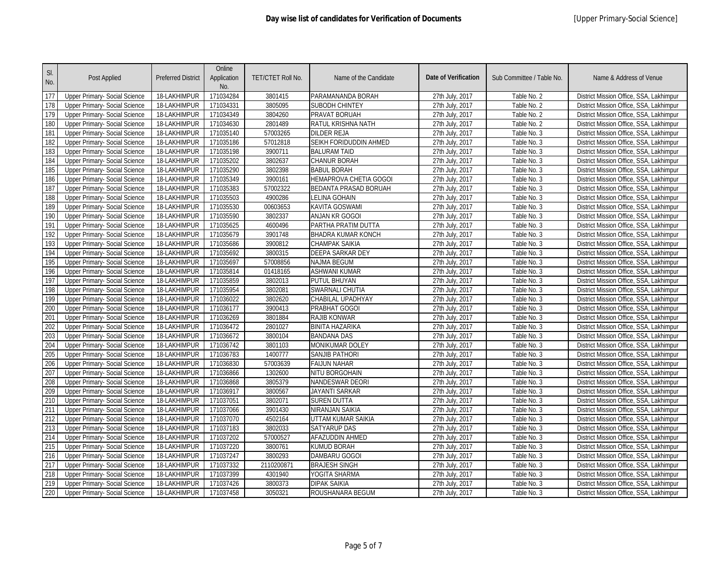| SI.<br>No. | Post Applied                                                   | <b>Preferred District</b>    | Online<br>Application<br>No. | TET/CTET Roll No.   | Name of the Candidate         | <b>Date of Verification</b>        | Sub Committee / Table No.  | Name & Address of Venue                                                            |
|------------|----------------------------------------------------------------|------------------------------|------------------------------|---------------------|-------------------------------|------------------------------------|----------------------------|------------------------------------------------------------------------------------|
| 177        | Upper Primary- Social Science                                  | 18-LAKHIMPUR                 | 171034284                    | 3801415             | PARAMANANDA BORAH             | 27th July, 2017                    | Table No. 2                | District Mission Office, SSA, Lakhimpur                                            |
| 178        | <b>Upper Primary- Social Science</b>                           | 18-LAKHIMPUR                 | 171034331                    | 3805095             | <b>SUBODH CHINTEY</b>         | 27th July, 2017                    | Table No. 2                | District Mission Office, SSA, Lakhimpur                                            |
| 179        | Upper Primary- Social Science                                  | 18-LAKHIMPUR                 | 171034349                    | 3804260             | PRAVAT BORUAH                 | 27th July, 2017                    | Table No. 2                | District Mission Office, SSA, Lakhimpur                                            |
| 180        | Upper Primary- Social Science                                  | 18-LAKHIMPUR                 | 171034630                    | 2801489             | RATUL KRISHNA NATH            | 27th July, 2017                    | Table No. 2                | District Mission Office, SSA, Lakhimpur                                            |
| 181        | <b>Upper Primary- Social Science</b>                           | 18-LAKHIMPUR                 | 171035140                    | 57003265            | DILDER REJA                   | 27th July, 2017                    | Table No. 3                | District Mission Office, SSA, Lakhimpur                                            |
| 182        | Upper Primary- Social Science                                  | 18-LAKHIMPUR                 | 171035186                    | 57012818            | SEIKH FORIDUDDIN AHMED        | 27th July, 2017                    | Table No. 3                | District Mission Office, SSA, Lakhimpur                                            |
| 183        | Upper Primary- Social Science                                  | 18-LAKHIMPUR                 | 171035198                    | 3900711             | <b>BALURAM TAID</b>           | 27th July, 2017                    | Table No. 3                | District Mission Office, SSA, Lakhimpur                                            |
| 184        | Upper Primary- Social Science                                  | 18-LAKHIMPUR                 | 171035202                    | 3802637             | <b>CHANUR BORAH</b>           | 27th July, 2017                    | Table No. 3                | District Mission Office, SSA, Lakhimpur                                            |
| 185        | Upper Primary- Social Science                                  | 18-LAKHIMPUR                 | 171035290                    | 3802398             | <b>BABUL BORAH</b>            | 27th July, 2017                    | Table No. 3                | District Mission Office, SSA, Lakhimpur                                            |
| 186        | <b>Upper Primary- Social Science</b>                           | 18-LAKHIMPUR                 | 171035349                    | 3900161             | HEMAPROVA CHETIA GOGOI        | 27th July, 2017                    | Table No. 3                | District Mission Office, SSA, Lakhimpur                                            |
| 187        | Upper Primary- Social Science                                  | 18-LAKHIMPUR                 | 171035383                    | 57002322            | BEDANTA PRASAD BORUAH         | 27th July, 2017                    | Table No. 3                | District Mission Office, SSA, Lakhimpur                                            |
| 188        | Upper Primary- Social Science                                  | 18-LAKHIMPUR                 | 171035503                    | 4900286             | ELINA GOHAIN                  | 27th July, 2017                    | Table No. 3                | District Mission Office, SSA, Lakhimpur                                            |
| 189        | Upper Primary- Social Science                                  | 18-LAKHIMPUR                 | 171035530                    | 00603653            | <b>KAVITA GOSWAMI</b>         | 27th July, 2017                    | Table No. 3                | District Mission Office, SSA, Lakhimpur                                            |
| 190        | Upper Primary- Social Science                                  | 18-LAKHIMPUR                 | 171035590                    | 3802337             | ANJAN KR GOGOI                | 27th July, 2017                    | Table No. 3                | District Mission Office, SSA, Lakhimpur                                            |
| 191        | Upper Primary- Social Science                                  | 18-LAKHIMPUR                 | 171035625                    | 4600496             | PARTHA PRATIM DUTTA           | 27th July, 2017                    | Table No. 3                | District Mission Office, SSA, Lakhimpur                                            |
| 192        | Upper Primary- Social Science                                  | 18-LAKHIMPUR                 | 171035679                    | 3901748             | BHADRA KUMAR KONCH            | 27th July, 2017                    | Table No. 3                | District Mission Office, SSA, Lakhimpur                                            |
| 193        | <b>Upper Primary- Social Science</b>                           | 18-LAKHIMPUR                 | 171035686                    | 3900812             | <b>CHAMPAK SAIKIA</b>         | 27th July, 2017                    | Table No. 3                | District Mission Office, SSA, Lakhimpur                                            |
| 194        | Upper Primary- Social Science                                  | 18-LAKHIMPUR                 | 171035692                    | 3800315             | DEEPA SARKAR DEY              | 27th July, 2017                    | Table No. 3                | District Mission Office, SSA, Lakhimpur                                            |
| 195        | Upper Primary- Social Science                                  | 18-LAKHIMPUR                 | 171035697                    | 57008856            | <b>NAJMA BEGUM</b>            | 27th July, 2017                    | Table No. 3                | District Mission Office, SSA, Lakhimpur                                            |
| 196        | Upper Primary- Social Science                                  | 18-LAKHIMPUR                 | 171035814                    | 01418165            | <b>ASHWANI KUMAR</b>          | 27th July, 2017                    | Table No. 3                | District Mission Office, SSA, Lakhimpur                                            |
| 197        | <b>Upper Primary- Social Science</b>                           | 18-LAKHIMPUR                 | 171035859                    | 3802013             | PUTUL BHUYAN                  | 27th July, 2017                    | Table No. 3                | District Mission Office, SSA, Lakhimpur                                            |
| 198        | Upper Primary- Social Science                                  | 18-LAKHIMPUR                 | 171035954                    | 3802081             | SWARNALI CHUTIA               | 27th July, 2017                    | Table No. 3                | District Mission Office, SSA, Lakhimpur                                            |
| 199        | <b>Upper Primary- Social Science</b>                           | 18-LAKHIMPUR                 | 171036022                    | 3802620             | CHABILAL UPADHYAY             | 27th July, 2017                    | Table No. 3                | District Mission Office, SSA, Lakhimpur                                            |
| 200        | Upper Primary- Social Science                                  | 18-LAKHIMPUR                 | 171036177                    | 3900413             | PRABHAT GOGOI                 | 27th July, 2017                    | Table No. 3                | District Mission Office, SSA, Lakhimpur                                            |
| 201        | <b>Upper Primary- Social Science</b>                           | 18-LAKHIMPUR                 | 171036269                    | 3801884             | RAJIB KONWAR                  | 27th July, 2017                    | Table No. 3                | District Mission Office, SSA, Lakhimpur                                            |
| 202        | Upper Primary- Social Science                                  | 18-LAKHIMPUR                 | 171036472                    | 2801027             | BINITA HAZARIKA               | 27th July, 2017                    | Table No. 3                | District Mission Office, SSA, Lakhimpur                                            |
| 203        | Upper Primary- Social Science                                  | 18-LAKHIMPUR                 | 171036672                    | 3800104             | <b>BANDANA DAS</b>            | 27th July, 2017                    | Table No. 3                | District Mission Office, SSA, Lakhimpur                                            |
| 204        | <b>Upper Primary- Social Science</b>                           | 18-LAKHIMPUR                 | 171036742                    | 3801103             | <b>MONIKUMAR DOLEY</b>        | 27th July, 2017                    | Table No. 3                | District Mission Office, SSA, Lakhimpur                                            |
| 205        | Upper Primary- Social Science                                  | 18-LAKHIMPUR                 | 171036783                    | 1400777             | SANJIB PATHORI                | 27th July, 2017                    | Table No. 3                | District Mission Office, SSA, Lakhimpur                                            |
| 206        | <b>Upper Primary- Social Science</b>                           | 18-LAKHIMPUR                 | 171036830                    | 57003639            | <b>FAIJUN NAHAR</b>           | 27th July, 2017                    | Table No. 3                | District Mission Office, SSA, Lakhimpur                                            |
| 207        | Upper Primary- Social Science                                  | 18-LAKHIMPUR                 | 171036866                    | 1302600             | NITU BORGOHAIN                | 27th July, 2017                    | Table No. 3                | District Mission Office, SSA, Lakhimpur                                            |
| 208        | Upper Primary- Social Science                                  | 18-LAKHIMPUR                 | 171036868                    | 3805379             | <b>NANDESWAR DEORI</b>        | 27th July, 2017                    | Table No. 3                | District Mission Office, SSA, Lakhimpur                                            |
| 209        | Upper Primary- Social Science                                  | 18-LAKHIMPUR                 | 171036917                    | 3800567             | JAYANTI SARKAR                | 27th July, 2017                    | Table No. 3                | District Mission Office, SSA, Lakhimpur                                            |
| 210        | <b>Upper Primary- Social Science</b>                           | 18-LAKHIMPUR                 | 171037051                    | 3802071             | <b>SUREN DUTTA</b>            | 27th July, 2017                    | Table No. 3                | District Mission Office, SSA, Lakhimpur                                            |
| 211<br>212 | Upper Primary- Social Science                                  | 18-LAKHIMPUR                 | 171037066                    | 3901430             | NIRANJAN SAIKIA               | 27th July, 2017                    | Table No. 3                | District Mission Office, SSA, Lakhimpur                                            |
|            | <b>Upper Primary- Social Science</b>                           | 18-LAKHIMPUR                 | 171037070                    | 4502164             | UTTAM KUMAR SAIKIA            | 27th July, 2017                    | Table No. 3                | District Mission Office, SSA, Lakhimpur                                            |
| 213        | Upper Primary- Social Science                                  | 18-LAKHIMPUR                 | 171037183                    | 3802033             | <b>SATYARUP DAS</b>           | 27th July, 2017                    | Table No. 3                | District Mission Office, SSA, Lakhimpur                                            |
| 214        | <b>Upper Primary- Social Science</b>                           | 18-LAKHIMPUR                 | 171037202                    | 57000527<br>3800761 | AFAZUDDIN AHMED               | 27th July, 2017                    | Table No. 3                | District Mission Office, SSA, Lakhimpur                                            |
| 215        | Upper Primary- Social Science                                  | 18-LAKHIMPUR                 | 171037220                    |                     | KUMUD BORAH                   | 27th July, 2017<br>27th July, 2017 | Table No. 3                | District Mission Office, SSA, Lakhimpur                                            |
| 216        | Upper Primary- Social Science                                  | 18-LAKHIMPUR                 | 171037247                    | 3800293             | DAMBARU GOGOI                 |                                    | Table No. 3                | District Mission Office, SSA, Lakhimpur                                            |
| 217        | Upper Primary- Social Science                                  | 18-LAKHIMPUR                 | 171037332                    | 2110200871          | <b>BRAJESH SINGH</b>          | 27th July, 2017                    | Table No. 3                | District Mission Office, SSA, Lakhimpur                                            |
| 218<br>219 | Upper Primary- Social Science<br>Upper Primary- Social Science | 18-LAKHIMPUR<br>18-LAKHIMPUR | 171037399<br>171037426       | 4301940<br>3800373  | YOGITA SHARMA<br>DIPAK SAIKIA | 27th July, 2017                    | Table No. 3<br>Table No. 3 | District Mission Office, SSA, Lakhimpur<br>District Mission Office, SSA, Lakhimpur |
|            |                                                                |                              |                              |                     |                               | 27th July, 2017                    |                            |                                                                                    |
| 220        | <b>Upper Primary- Social Science</b>                           | 18-LAKHIMPUR                 | 171037458                    | 3050321             | ROUSHANARA BEGUM              | 27th July, 2017                    | Table No. 3                | District Mission Office, SSA, Lakhimpur                                            |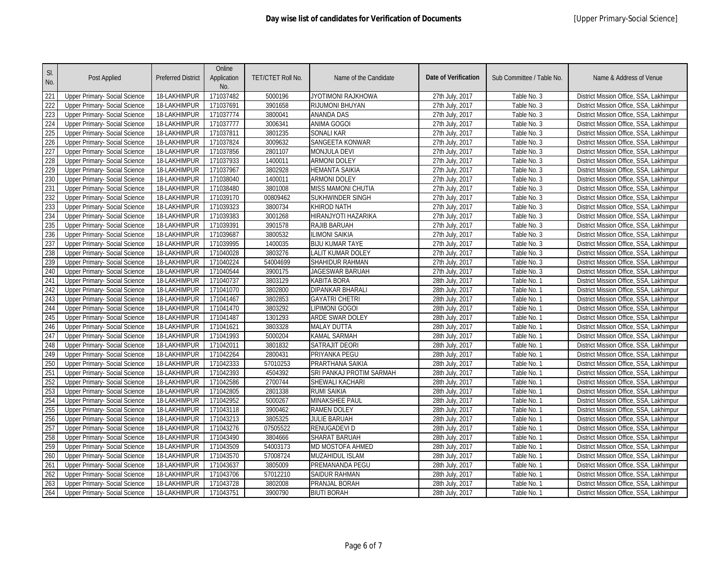| SI.<br>No. | Post Applied                         | <b>Preferred District</b> | Online<br>Application<br>No. | TET/CTET Roll No. | Name of the Candidate    | <b>Date of Verification</b> | Sub Committee / Table No. | Name & Address of Venue                 |
|------------|--------------------------------------|---------------------------|------------------------------|-------------------|--------------------------|-----------------------------|---------------------------|-----------------------------------------|
| 221        | Upper Primary- Social Science        | 18-LAKHIMPUR              | 171037482                    | 5000196           | JYOTIMONI RAJKHOWA       | 27th July, 2017             | Table No. 3               | District Mission Office, SSA, Lakhimpur |
| 222        | <b>Upper Primary- Social Science</b> | 18-LAKHIMPUR              | 171037691                    | 3901658           | RIJUMONI BHUYAN          | 27th July, 2017             | Table No. 3               | District Mission Office, SSA, Lakhimpur |
| 223        | <b>Upper Primary- Social Science</b> | 18-LAKHIMPUR              | 171037774                    | 3800041           | ANANDA DAS               | 27th July, 2017             | Table No. 3               | District Mission Office, SSA, Lakhimpur |
| 224        | Upper Primary- Social Science        | 18-LAKHIMPUR              | 171037777                    | 3006341           | <b>ANIMA GOGOI</b>       | 27th July, 2017             | Table No. 3               | District Mission Office, SSA, Lakhimpur |
| 225        | <b>Upper Primary- Social Science</b> | 18-LAKHIMPUR              | 171037811                    | 3801235           | <b>SONALI KAR</b>        | 27th July, 2017             | Table No. 3               | District Mission Office, SSA, Lakhimpur |
| 226        | Upper Primary- Social Science        | 18-LAKHIMPUR              | 171037824                    | 3009632           | <b>SANGEETA KONWAR</b>   | 27th July, 2017             | Table No. 3               | District Mission Office, SSA, Lakhimpur |
| 227        | Upper Primary- Social Science        | 18-LAKHIMPUR              | 171037856                    | 2801107           | MONJULA DEVI             | 27th July, 2017             | Table No. 3               | District Mission Office, SSA, Lakhimpur |
| 228        | <b>Upper Primary- Social Science</b> | 18-LAKHIMPUR              | 171037933                    | 1400011           | <b>ARMONI DOLEY</b>      | 27th July, 2017             | Table No. 3               | District Mission Office, SSA, Lakhimpur |
| 229        | Upper Primary- Social Science        | 18-LAKHIMPUR              | 171037967                    | 3802928           | HEMANTA SAIKIA           | 27th July, 2017             | Table No. 3               | District Mission Office, SSA, Lakhimpur |
| 230        | <b>Upper Primary- Social Science</b> | 18-LAKHIMPUR              | 171038040                    | 1400011           | ARMONI DOLEY             | 27th July, 2017             | Table No. 3               | District Mission Office, SSA, Lakhimpur |
| 231        | Upper Primary- Social Science        | 18-LAKHIMPUR              | 171038480                    | 3801008           | MISS MAMONI CHUTIA       | 27th July, 2017             | Table No. 3               | District Mission Office, SSA, Lakhimpur |
| 232        | Upper Primary- Social Science        | 18-LAKHIMPUR              | 171039170                    | 00809462          | SUKHWINDER SINGH         | 27th July, 2017             | Table No. 3               | District Mission Office, SSA, Lakhimpur |
| 233        | Upper Primary- Social Science        | 18-LAKHIMPUR              | 171039323                    | 3800734           | <b>KHIROD NATH</b>       | 27th July, 2017             | Table No. 3               | District Mission Office, SSA, Lakhimpur |
| 234        | Upper Primary- Social Science        | 18-LAKHIMPUR              | 171039383                    | 3001268           | HIRANJYOTI HAZARIKA      | 27th July, 2017             | Table No. 3               | District Mission Office, SSA, Lakhimpur |
| 235        | Upper Primary- Social Science        | 18-LAKHIMPUR              | 171039391                    | 3901578           | RAJIB BARUAH             | 27th July, 2017             | Table No. 3               | District Mission Office, SSA, Lakhimpur |
| 236        | Upper Primary- Social Science        | 18-LAKHIMPUR              | 171039687                    | 3800532           | ILIMONI SAIKIA           | 27th July, 2017             | Table No. 3               | District Mission Office, SSA, Lakhimpur |
| 237        | <b>Upper Primary- Social Science</b> | 18-LAKHIMPUR              | 171039995                    | 1400035           | <b>BIJU KUMAR TAYE</b>   | 27th July, 2017             | Table No. 3               | District Mission Office, SSA, Lakhimpur |
| 238        | Upper Primary- Social Science        | 18-LAKHIMPUR              | 171040028                    | 3803276           | LALIT KUMAR DOLEY        | 27th July, 2017             | Table No. 3               | District Mission Office, SSA, Lakhimpur |
| 239        | Upper Primary- Social Science        | 18-LAKHIMPUR              | 171040224                    | 54004699          | SHAHIDUR RAHMAN          | 27th July, 2017             | Table No. 3               | District Mission Office, SSA, Lakhimpur |
| 240        | Upper Primary- Social Science        | 18-LAKHIMPUR              | 171040544                    | 3900175           | JAGESWAR BARUAH          | 27th July, 2017             | Table No. 3               | District Mission Office, SSA, Lakhimpur |
| 241        | <b>Upper Primary- Social Science</b> | 18-LAKHIMPUR              | 171040737                    | 3803129           | KABITA BORA              | 28th July, 2017             | Table No. 1               | District Mission Office, SSA, Lakhimpur |
| 242        | Upper Primary- Social Science        | 18-LAKHIMPUR              | 171041070                    | 3802800           | <b>DIPANKAR BHARALI</b>  | 28th July, 2017             | Table No. 1               | District Mission Office, SSA, Lakhimpur |
| 243        | <b>Upper Primary- Social Science</b> | 18-LAKHIMPUR              | 171041467                    | 3802853           | <b>GAYATRI CHETRI</b>    | 28th July, 2017             | Table No. 1               | District Mission Office, SSA, Lakhimpur |
| 244        | Upper Primary- Social Science        | 18-LAKHIMPUR              | 171041470                    | 3803292           | Lipimoni Gogoi           | 28th July, 2017             | Table No. 1               | District Mission Office, SSA, Lakhimpur |
| 245        | <b>Upper Primary- Social Science</b> | 18-LAKHIMPUR              | 171041487                    | 1301293           | ARDE SWAR DOLEY          | 28th July, 2017             | Table No. 1               | District Mission Office, SSA, Lakhimpur |
| 246        | Upper Primary- Social Science        | 18-LAKHIMPUR              | 171041621                    | 3803328           | <b>MALAY DUTTA</b>       | 28th July, 2017             | Table No. 1               | District Mission Office, SSA, Lakhimpur |
| 247        | Upper Primary- Social Science        | 18-LAKHIMPUR              | 171041993                    | 5000204           | KAMAL SARMAH             | 28th July, 2017             | Table No. 1               | District Mission Office, SSA, Lakhimpur |
| 248        | <b>Upper Primary- Social Science</b> | 18-LAKHIMPUR              | 171042011                    | 3801832           | <b>SATRAJIT DEORI</b>    | 28th July, 2017             | Table No. 1               | District Mission Office, SSA, Lakhimpur |
| 249        | Upper Primary- Social Science        | 18-LAKHIMPUR              | 171042264                    | 2800431           | PRIYANKA PEGU            | 28th July, 2017             | Table No. 1               | District Mission Office, SSA, Lakhimpur |
| 250        | <b>Upper Primary- Social Science</b> | 18-LAKHIMPUR              | 171042333                    | 57010253          | PRARTHANA SAIKIA         | 28th July, 2017             | Table No. 1               | District Mission Office, SSA, Lakhimpur |
| 251        | Upper Primary- Social Science        | 18-LAKHIMPUR              | 171042393                    | 4504392           | SRI PANKAJ PROTIM SARMAH | 28th July, 2017             | Table No. 1               | District Mission Office, SSA, Lakhimpur |
| 252        | Upper Primary- Social Science        | 18-LAKHIMPUR              | 171042586                    | 2700744           | SHEWALI KACHARI          | 28th July, 2017             | Table No. 1               | District Mission Office, SSA, Lakhimpur |
| 253        | Upper Primary- Social Science        | 18-LAKHIMPUR              | 171042805                    | 2801338           | RUMI SAIKIA              | 28th July, 2017             | Table No. 1               | District Mission Office, SSA, Lakhimpur |
| 254        | <b>Upper Primary- Social Science</b> | 18-LAKHIMPUR              | 171042952                    | 5000267           | <b>MINAKSHEE PAUL</b>    | 28th July, 2017             | Table No. 1               | District Mission Office, SSA, Lakhimpur |
| 255        | Upper Primary- Social Science        | 18-LAKHIMPUR              | 171043118                    | 3900462           | <b>RAMEN DOLEY</b>       | 28th July, 2017             | Table No. 1               | District Mission Office, SSA, Lakhimpur |
| 256        | <b>Upper Primary- Social Science</b> | 18-LAKHIMPUR              | 171043213                    | 3805325           | <b>JULIE BARUAH</b>      | 28th July, 2017             | Table No. 1               | District Mission Office, SSA, Lakhimpur |
| 257        | Upper Primary- Social Science        | 18-LAKHIMPUR              | 171043276                    | 07505522          | RENUGADEVI D             | 28th July, 2017             | Table No. 1               | District Mission Office, SSA, Lakhimpur |
| 258        | <b>Upper Primary- Social Science</b> | 18-LAKHIMPUR              | 171043490                    | 3804666           | SHARAT BARUAH            | 28th July, 2017             | Table No. 1               | District Mission Office, SSA, Lakhimpur |
| 259        | Upper Primary- Social Science        | 18-LAKHIMPUR              | 171043509                    | 54003173          | MD MOSTOFA AHMED         | 28th July, 2017             | Table No. 1               | District Mission Office, SSA, Lakhimpur |
| 260        | Upper Primary- Social Science        | 18-LAKHIMPUR              | 171043570                    | 57008724          | MUZAHIDUL ISLAM          | 28th July, 2017             | Table No. 1               | District Mission Office, SSA, Lakhimpur |
| 261        | Upper Primary- Social Science        | 18-LAKHIMPUR              | 171043637                    | 3805009           | PREMANANDA PEGU          | 28th July, 2017             | Table No. 1               | District Mission Office, SSA, Lakhimpur |
| 262        | Upper Primary- Social Science        | 18-LAKHIMPUR              | 171043706                    | 57012210          | SAIDUR RAHMAN            | 28th July, 2017             | Table No. 1               | District Mission Office, SSA, Lakhimpur |
| 263        | Upper Primary- Social Science        | 18-LAKHIMPUR              | 171043728                    | 3802008           | PRANJAL BORAH            | 28th July, 2017             | Table No. 1               | District Mission Office, SSA, Lakhimpur |
| 264        | <b>Upper Primary- Social Science</b> | 18-LAKHIMPUR              | 171043751                    | 3900790           | <b>BIUTI BORAH</b>       | 28th July, 2017             | Table No. 1               | District Mission Office, SSA, Lakhimpur |